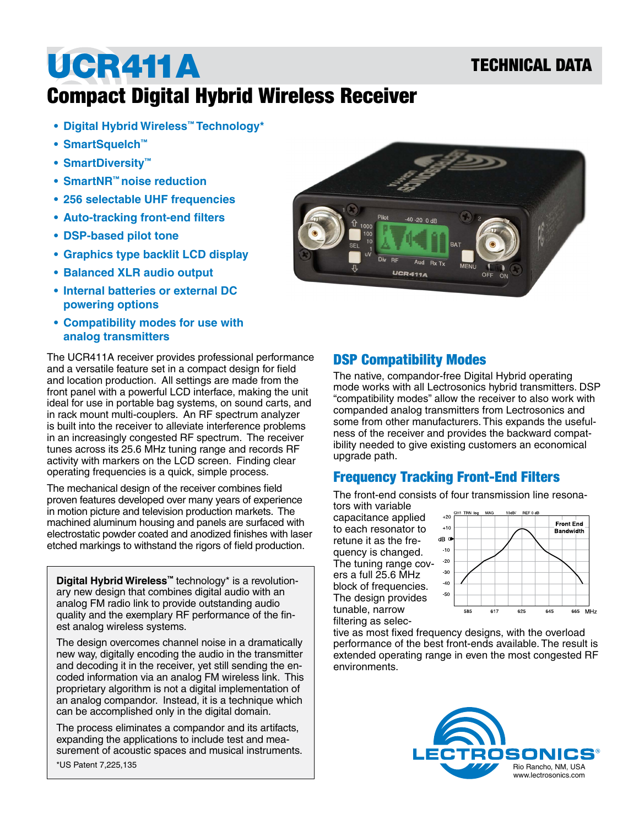## TECHNICAL DATA

## UCR411A Compact Digital Hybrid Wireless Receiver

- **• Digital Hybrid Wireless™ Technology\***
- **• SmartSquelch™**
- **• SmartDiversity™**
- **• SmartNR™ noise reduction**
- **• 256 selectable UHF frequencies**
- **• Auto-tracking front-end filters**
- **• DSP-based pilot tone**
- **• Graphics type backlit LCD display**
- **• Balanced XLR audio output**
- **• Internal batteries or external DC powering options**
- **• Compatibility modes for use with analog transmitters**

The UCR411A receiver provides professional performance and a versatile feature set in a compact design for field and location production. All settings are made from the front panel with a powerful LCD interface, making the unit ideal for use in portable bag systems, on sound carts, and in rack mount multi-couplers. An RF spectrum analyzer is built into the receiver to alleviate interference problems in an increasingly congested RF spectrum. The receiver tunes across its 25.6 MHz tuning range and records RF activity with markers on the LCD screen. Finding clear operating frequencies is a quick, simple process.

The mechanical design of the receiver combines field proven features developed over many years of experience in motion picture and television production markets. The machined aluminum housing and panels are surfaced with electrostatic powder coated and anodized finishes with laser etched markings to withstand the rigors of field production.

**Digital Hybrid Wireless™** technology\* is a revolutionary new design that combines digital audio with an analog FM radio link to provide outstanding audio quality and the exemplary RF performance of the finest analog wireless systems.

The design overcomes channel noise in a dramatically new way, digitally encoding the audio in the transmitter and decoding it in the receiver, yet still sending the encoded information via an analog FM wireless link. This proprietary algorithm is not a digital implementation of an analog compandor. Instead, it is a technique which can be accomplished only in the digital domain.

\*US Patent 7,225,135 The process eliminates a compandor and its artifacts, expanding the applications to include test and measurement of acoustic spaces and musical instruments.



#### DSP Compatibility Modes

The native, compandor-free Digital Hybrid operating mode works with all Lectrosonics hybrid transmitters. DSP "compatibility modes" allow the receiver to also work with companded analog transmitters from Lectrosonics and some from other manufacturers. This expands the usefulness of the receiver and provides the backward compatibility needed to give existing customers an economical upgrade path.

## Frequency Tracking Front-End Filters

The front-end consists of four transmission line resona-

tors with variable capacitance applied to each resonator to retune it as the frequency is changed. The tuning range covers a full 25.6 MHz block of frequencies. The design provides tunable, narrow filtering as selec-



tive as most fixed frequency designs, with the overload performance of the best front-ends available. The result is extended operating range in even the most congested RF environments.

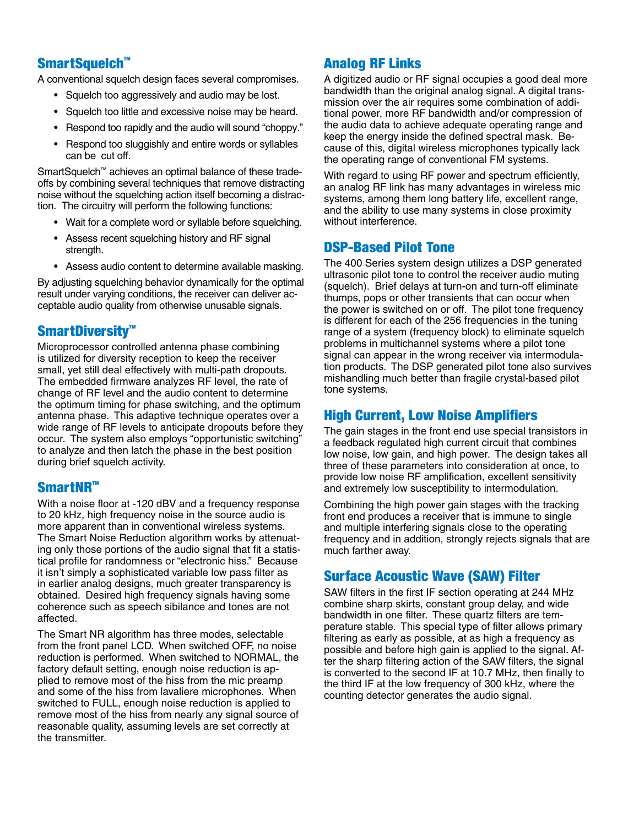## SmartSquelch<sup>™</sup>

A conventional squelch design faces several compromises.

- Squelch too aggressively and audio may be lost.
- Squelch too little and excessive noise may be heard.
- Respond too rapidly and the audio will sound "choppy."
- Respond too sluggishly and entire words or syllables can be cut off.

SmartSquelch™ achieves an optimal balance of these tradeoffs by combining several techniques that remove distracting noise without the squelching action itself becoming a distraction. The circuitry will perform the following functions:

- Wait for a complete word or syllable before squelching.
- Assess recent squelching history and RF signal strength.
- Assess audio content to determine available masking.

By adjusting squelching behavior dynamically for the optimal result under varying conditions, the receiver can deliver acceptable audio quality from otherwise unusable signals.

#### SmartDiversity™

Microprocessor controlled antenna phase combining is utilized for diversity reception to keep the receiver small, yet still deal effectively with multi-path dropouts. The embedded firmware analyzes RF level, the rate of change of RF level and the audio content to determine the optimum timing for phase switching, and the optimum antenna phase. This adaptive technique operates over a wide range of RF levels to anticipate dropouts before they occur. The system also employs "opportunistic switching" to analyze and then latch the phase in the best position during brief squelch activity.

#### SmartNR™

With a noise floor at -120 dBV and a frequency response to 20 kHz, high frequency noise in the source audio is more apparent than in conventional wireless systems. The Smart Noise Reduction algorithm works by attenuating only those portions of the audio signal that fit a statistical profile for randomness or "electronic hiss." Because it isn't simply a sophisticated variable low pass filter as in earlier analog designs, much greater transparency is obtained. Desired high frequency signals having some coherence such as speech sibilance and tones are not affected.

The Smart NR algorithm has three modes, selectable from the front panel LCD. When switched OFF, no noise reduction is performed. When switched to NORMAL, the factory default setting, enough noise reduction is applied to remove most of the hiss from the mic preamp and some of the hiss from lavaliere microphones. When switched to FULL, enough noise reduction is applied to remove most of the hiss from nearly any signal source of reasonable quality, assuming levels are set correctly at the transmitter.

#### Analog RF Links

A digitized audio or RF signal occupies a good deal more bandwidth than the original analog signal. A digital transmission over the air requires some combination of additional power, more RF bandwidth and/or compression of the audio data to achieve adequate operating range and keep the energy inside the defined spectral mask. Because of this, digital wireless microphones typically lack the operating range of conventional FM systems.

With regard to using RF power and spectrum efficiently, an analog RF link has many advantages in wireless mic systems, among them long battery life, excellent range, and the ability to use many systems in close proximity without interference.

#### DSP-Based Pilot Tone

The 400 Series system design utilizes a DSP generated ultrasonic pilot tone to control the receiver audio muting (squelch). Brief delays at turn-on and turn-off eliminate thumps, pops or other transients that can occur when the power is switched on or off. The pilot tone frequency is different for each of the 256 frequencies in the tuning range of a system (frequency block) to eliminate squelch problems in multichannel systems where a pilot tone signal can appear in the wrong receiver via intermodulation products. The DSP generated pilot tone also survives mishandling much better than fragile crystal-based pilot tone systems.

#### High Current, Low Noise Amplifiers

The gain stages in the front end use special transistors in a feedback regulated high current circuit that combines low noise, low gain, and high power. The design takes all three of these parameters into consideration at once, to provide low noise RF amplification, excellent sensitivity and extremely low susceptibility to intermodulation.

Combining the high power gain stages with the tracking front end produces a receiver that is immune to single and multiple interfering signals close to the operating frequency and in addition, strongly rejects signals that are much farther away.

#### Surface Acoustic Wave (SAW) Filter

SAW filters in the first IF section operating at 244 MHz combine sharp skirts, constant group delay, and wide bandwidth in one filter. These quartz filters are temperature stable. This special type of filter allows primary filtering as early as possible, at as high a frequency as possible and before high gain is applied to the signal. After the sharp filtering action of the SAW filters, the signal is converted to the second IF at 10.7 MHz, then finally to the third IF at the low frequency of 300 kHz, where the counting detector generates the audio signal.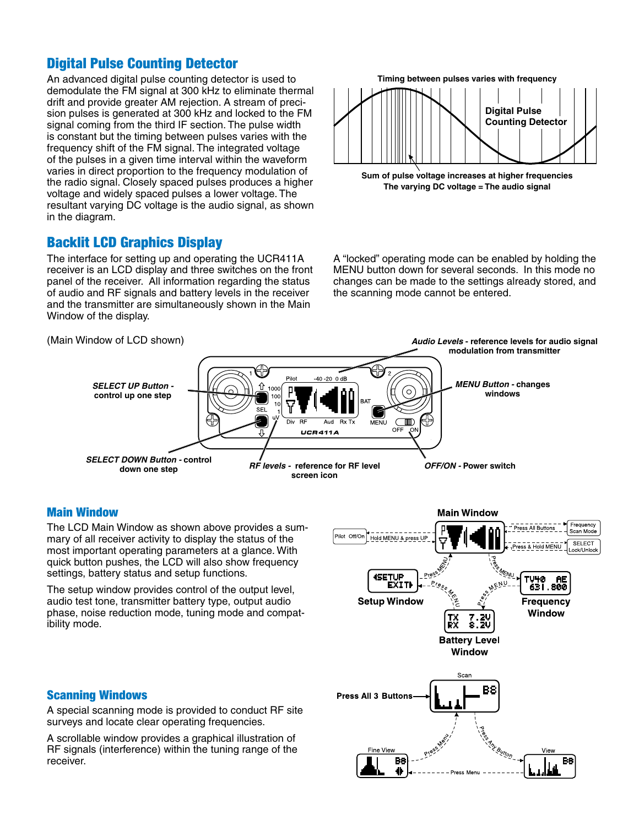## Digital Pulse Counting Detector

An advanced digital pulse counting detector is used to demodulate the FM signal at 300 kHz to eliminate thermal drift and provide greater AM rejection. A stream of precision pulses is generated at 300 kHz and locked to the FM signal coming from the third IF section. The pulse width is constant but the timing between pulses varies with the frequency shift of the FM signal. The integrated voltage of the pulses in a given time interval within the waveform varies in direct proportion to the frequency modulation of the radio signal. Closely spaced pulses produces a higher voltage and widely spaced pulses a lower voltage. The resultant varying DC voltage is the audio signal, as shown in the diagram.

## Backlit LCD Graphics Display

The interface for setting up and operating the UCR411A receiver is an LCD display and three switches on the front panel of the receiver. All information regarding the status of audio and RF signals and battery levels in the receiver and the transmitter are simultaneously shown in the Main Window of the display.



**The varying DC voltage = The audio signal**

A "locked" operating mode can be enabled by holding the MENU button down for several seconds. In this mode no changes can be made to the settings already stored, and the scanning mode cannot be entered.



#### Main Window

The LCD Main Window as shown above provides a summary of all receiver activity to display the status of the most important operating parameters at a glance. With quick button pushes, the LCD will also show frequency settings, battery status and setup functions.

The setup window provides control of the output level, audio test tone, transmitter battery type, output audio phase, noise reduction mode, tuning mode and compatibility mode.



#### Scanning Windows

A special scanning mode is provided to conduct RF site surveys and locate clear operating frequencies.

A scrollable window provides a graphical illustration of RF signals (interference) within the tuning range of the receiver.